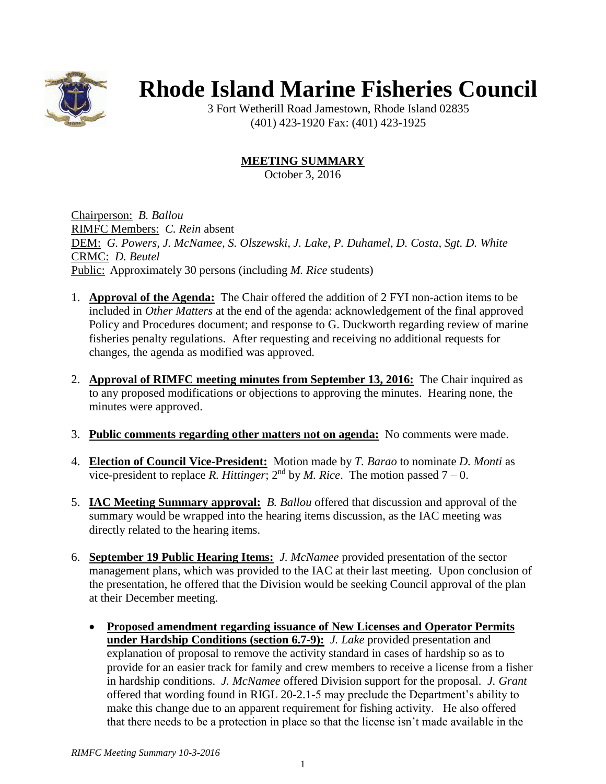

## **Rhode Island Marine Fisheries Council**

3 Fort Wetherill Road Jamestown, Rhode Island 02835 (401) 423-1920 Fax: (401) 423-1925

## **MEETING SUMMARY**

October 3, 2016

Chairperson: *B. Ballou* RIMFC Members: *C. Rein* absent DEM: *G. Powers, J. McNamee, S. Olszewski, J. Lake, P. Duhamel, D. Costa, Sgt. D. White* CRMC: *D. Beutel* Public: Approximately 30 persons (including *M. Rice* students)

- 1. **Approval of the Agenda:** The Chair offered the addition of 2 FYI non-action items to be included in *Other Matters* at the end of the agenda: acknowledgement of the final approved Policy and Procedures document; and response to G. Duckworth regarding review of marine fisheries penalty regulations. After requesting and receiving no additional requests for changes, the agenda as modified was approved.
- 2. **Approval of RIMFC meeting minutes from September 13, 2016:** The Chair inquired as to any proposed modifications or objections to approving the minutes. Hearing none, the minutes were approved.
- 3. **Public comments regarding other matters not on agenda:** No comments were made.
- 4. **Election of Council Vice-President:** Motion made by *T. Barao* to nominate *D. Monti* as vice-president to replace *R. Hittinger*;  $2<sup>nd</sup>$  by *M. Rice*. The motion passed  $7 - 0$ .
- 5. **IAC Meeting Summary approval:** *B. Ballou* offered that discussion and approval of the summary would be wrapped into the hearing items discussion, as the IAC meeting was directly related to the hearing items.
- 6. **September 19 Public Hearing Items:** *J. McNamee* provided presentation of the sector management plans, which was provided to the IAC at their last meeting. Upon conclusion of the presentation, he offered that the Division would be seeking Council approval of the plan at their December meeting.
	- **Proposed amendment regarding issuance of New Licenses and Operator Permits under Hardship Conditions (section 6.7-9):** *J. Lake* provided presentation and explanation of proposal to remove the activity standard in cases of hardship so as to provide for an easier track for family and crew members to receive a license from a fisher in hardship conditions. *J. McNamee* offered Division support for the proposal. *J. Grant* offered that wording found in RIGL 20-2.1-5 may preclude the Department's ability to make this change due to an apparent requirement for fishing activity. He also offered that there needs to be a protection in place so that the license isn't made available in the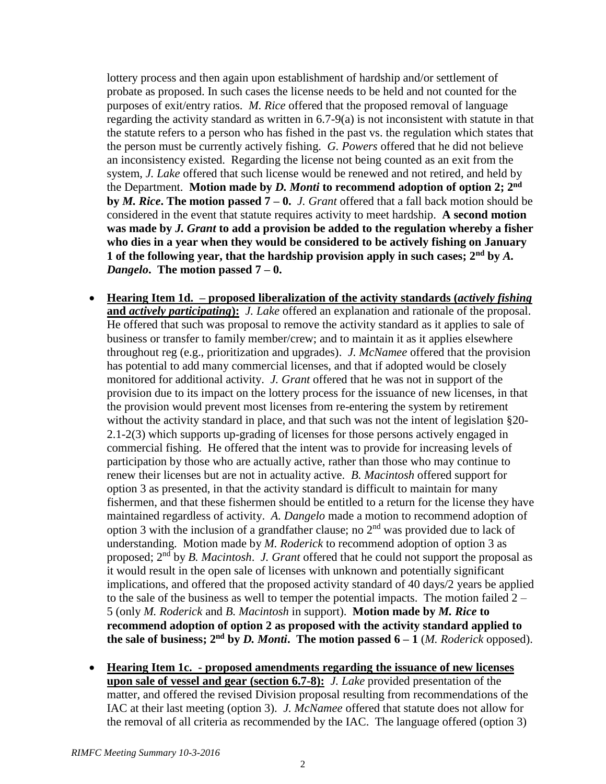lottery process and then again upon establishment of hardship and/or settlement of probate as proposed. In such cases the license needs to be held and not counted for the purposes of exit/entry ratios. *M. Rice* offered that the proposed removal of language regarding the activity standard as written in 6.7-9(a) is not inconsistent with statute in that the statute refers to a person who has fished in the past vs. the regulation which states that the person must be currently actively fishing. *G. Powers* offered that he did not believe an inconsistency existed. Regarding the license not being counted as an exit from the system, *J. Lake* offered that such license would be renewed and not retired, and held by the Department. **Motion made by** *D. Monti* **to recommend adoption of option 2; 2nd by** *M. Rice***. The motion passed 7 – 0.** *J. Grant* offered that a fall back motion should be considered in the event that statute requires activity to meet hardship. **A second motion was made by** *J. Grant* **to add a provision be added to the regulation whereby a fisher who dies in a year when they would be considered to be actively fishing on January 1 of the following year, that the hardship provision apply in such cases; 2nd by** *A. Dangelo***. The motion passed 7 – 0.**

- **Hearing Item 1d. – proposed liberalization of the activity standards (***actively fishing* **and** *actively participating***):** *J. Lake* offered an explanation and rationale of the proposal. He offered that such was proposal to remove the activity standard as it applies to sale of business or transfer to family member/crew; and to maintain it as it applies elsewhere throughout reg (e.g., prioritization and upgrades). *J. McNamee* offered that the provision has potential to add many commercial licenses, and that if adopted would be closely monitored for additional activity. *J. Grant* offered that he was not in support of the provision due to its impact on the lottery process for the issuance of new licenses, in that the provision would prevent most licenses from re-entering the system by retirement without the activity standard in place, and that such was not the intent of legislation §20- 2.1-2(3) which supports up-grading of licenses for those persons actively engaged in commercial fishing. He offered that the intent was to provide for increasing levels of participation by those who are actually active, rather than those who may continue to renew their licenses but are not in actuality active. *B. Macintosh* offered support for option 3 as presented, in that the activity standard is difficult to maintain for many fishermen, and that these fishermen should be entitled to a return for the license they have maintained regardless of activity. *A. Dangelo* made a motion to recommend adoption of option 3 with the inclusion of a grandfather clause; no  $2<sup>nd</sup>$  was provided due to lack of understanding. Motion made by *M. Roderick* to recommend adoption of option 3 as proposed; 2nd by *B. Macintosh*. *J. Grant* offered that he could not support the proposal as it would result in the open sale of licenses with unknown and potentially significant implications, and offered that the proposed activity standard of 40 days/2 years be applied to the sale of the business as well to temper the potential impacts. The motion failed  $2 -$ 5 (only *M. Roderick* and *B. Macintosh* in support). **Motion made by** *M. Rice* **to recommend adoption of option 2 as proposed with the activity standard applied to the sale of business;**  $2^{nd}$  **by** *D. Monti***. The motion passed**  $6-1$ *(M. Roderick* **opposed).**
- **Hearing Item 1c. - proposed amendments regarding the issuance of new licenses upon sale of vessel and gear (section 6.7-8):** *J. Lake* provided presentation of the matter, and offered the revised Division proposal resulting from recommendations of the IAC at their last meeting (option 3). *J. McNamee* offered that statute does not allow for the removal of all criteria as recommended by the IAC. The language offered (option 3)